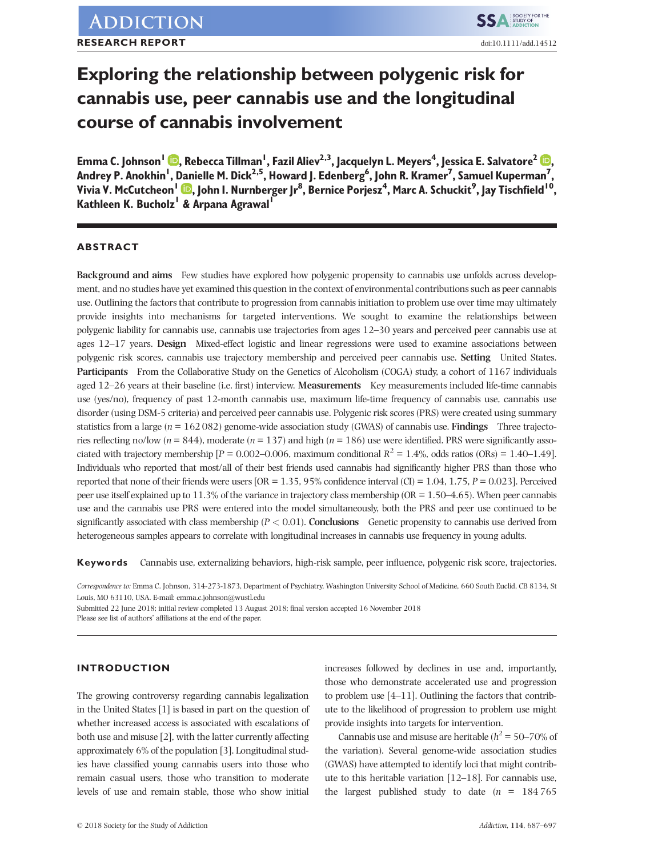# Exploring the relationship between polygenic risk for cannabis use, peer cannabis use and the longitudinal course of cannabis involvement

Emma C. Johnson1 , Rebecca Tillman1 , Fazil Aliev2,3, Jacquelyn L. Meyers4 , Jessica E. Salvatore2 [,](https://orcid.org/0000-0001-5504-5087) Andrey P. Anokhin<sup>I</sup>, Danielle M. Dick<sup>2,5</sup>, Howard J. Edenberg<sup>6</sup>, John R. Kramer<sup>7</sup>, Samuel Kuperman<sup>7</sup>, Vivia V. McCutcheon<sup>I</sup> (D, John I. Nurnberger Jr $^8$ , Bernice Porjesz<sup>4</sup>, Marc A. Schuckit<sup>9</sup>, Jay Tischfield <sup>I 0</sup>, Kathleen K. Bucholz<sup>1</sup> & Arpana Agrawal<sup>1</sup>

## ABSTRACT

Background and aims Few studies have explored how polygenic propensity to cannabis use unfolds across development, and no studies have yet examined this question in the context of environmental contributions such as peer cannabis use. Outlining the factors that contribute to progression from cannabis initiation to problem use over time may ultimately provide insights into mechanisms for targeted interventions. We sought to examine the relationships between polygenic liability for cannabis use, cannabis use trajectories from ages 12–30 years and perceived peer cannabis use at ages 12–17 years. Design Mixed-effect logistic and linear regressions were used to examine associations between polygenic risk scores, cannabis use trajectory membership and perceived peer cannabis use. Setting United States. Participants From the Collaborative Study on the Genetics of Alcoholism (COGA) study, a cohort of 1167 individuals aged 12–26 years at their baseline (i.e. first) interview. Measurements Key measurements included life-time cannabis use (yes/no), frequency of past 12-month cannabis use, maximum life-time frequency of cannabis use, cannabis use disorder (using DSM-5 criteria) and perceived peer cannabis use. Polygenic risk scores (PRS) were created using summary statistics from a large ( $n = 162082$ ) genome-wide association study (GWAS) of cannabis use. Findings Three trajectories reflecting no/low ( $n = 844$ ), moderate ( $n = 137$ ) and high ( $n = 186$ ) use were identified. PRS were significantly associated with trajectory membership  $[P = 0.002 - 0.006$ , maximum conditional  $R^2 = 1.4\%$ , odds ratios (ORs) = 1.40–1.49]. Individuals who reported that most/all of their best friends used cannabis had significantly higher PRS than those who reported that none of their friends were users  $[OR = 1.35, 95\%$  confidence interval  $(Cl) = 1.04, 1.75, P = 0.023$ ]. Perceived peer use itself explained up to 11.3% of the variance in trajectory class membership (OR = 1.50–4.65). When peer cannabis use and the cannabis use PRS were entered into the model simultaneously, both the PRS and peer use continued to be significantly associated with class membership  $(P < 0.01)$ . Conclusions Genetic propensity to cannabis use derived from heterogeneous samples appears to correlate with longitudinal increases in cannabis use frequency in young adults.

Keywords Cannabis use, externalizing behaviors, high-risk sample, peer influence, polygenic risk score, trajectories.

Correspondence to: Emma C. Johnson, 314-273-1873, Department of Psychiatry, Washington University School of Medicine, 660 South Euclid, CB 8134, St Louis, MO 63110, USA. E-mail: emma.c.johnson@wustl.edu

Submitted 22 June 2018; initial review completed 13 August 2018; final version accepted 16 November 2018

Please see list of authors' affiliations at the end of the paper.

# INTRODUCTION

The growing controversy regarding cannabis legalization in the United States [1] is based in part on the question of whether increased access is associated with escalations of both use and misuse [2], with the latter currently affecting approximately 6% of the population [3]. Longitudinal studies have classified young cannabis users into those who remain casual users, those who transition to moderate levels of use and remain stable, those who show initial

increases followed by declines in use and, importantly, those who demonstrate accelerated use and progression to problem use [4–11]. Outlining the factors that contribute to the likelihood of progression to problem use might provide insights into targets for intervention.

Cannabis use and misuse are heritable ( $h^2 = 50-70\%$  of the variation). Several genome-wide association studies (GWAS) have attempted to identify loci that might contribute to this heritable variation [12–18]. For cannabis use, the largest published study to date  $(n = 184765)$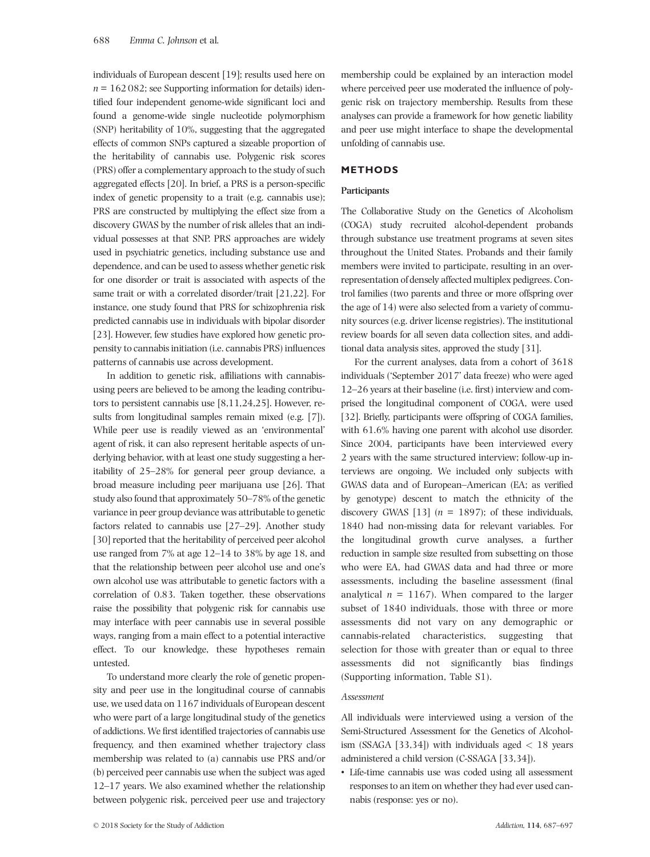individuals of European descent [19]; results used here on  $n = 162082$ ; see Supporting information for details) identified four independent genome-wide significant loci and found a genome-wide single nucleotide polymorphism (SNP) heritability of 10%, suggesting that the aggregated effects of common SNPs captured a sizeable proportion of the heritability of cannabis use. Polygenic risk scores (PRS) offer a complementary approach to the study of such aggregated effects [20]. In brief, a PRS is a person-specific index of genetic propensity to a trait (e.g. cannabis use); PRS are constructed by multiplying the effect size from a discovery GWAS by the number of risk alleles that an individual possesses at that SNP. PRS approaches are widely used in psychiatric genetics, including substance use and dependence, and can be used to assess whether genetic risk for one disorder or trait is associated with aspects of the same trait or with a correlated disorder/trait [21,22]. For instance, one study found that PRS for schizophrenia risk predicted cannabis use in individuals with bipolar disorder [23]. However, few studies have explored how genetic propensity to cannabis initiation (i.e. cannabis PRS) influences patterns of cannabis use across development.

In addition to genetic risk, affiliations with cannabisusing peers are believed to be among the leading contributors to persistent cannabis use [8,11,24,25]. However, results from longitudinal samples remain mixed (e.g. [7]). While peer use is readily viewed as an 'environmental' agent of risk, it can also represent heritable aspects of underlying behavior, with at least one study suggesting a heritability of 25–28% for general peer group deviance, a broad measure including peer marijuana use [26]. That study also found that approximately 50–78% of the genetic variance in peer group deviance was attributable to genetic factors related to cannabis use [27–29]. Another study [30] reported that the heritability of perceived peer alcohol use ranged from 7% at age 12–14 to 38% by age 18, and that the relationship between peer alcohol use and one's own alcohol use was attributable to genetic factors with a correlation of 0.83. Taken together, these observations raise the possibility that polygenic risk for cannabis use may interface with peer cannabis use in several possible ways, ranging from a main effect to a potential interactive effect. To our knowledge, these hypotheses remain untested.

To understand more clearly the role of genetic propensity and peer use in the longitudinal course of cannabis use, we used data on 1167 individuals of European descent who were part of a large longitudinal study of the genetics of addictions. We first identified trajectories of cannabis use frequency, and then examined whether trajectory class membership was related to (a) cannabis use PRS and/or (b) perceived peer cannabis use when the subject was aged 12–17 years. We also examined whether the relationship between polygenic risk, perceived peer use and trajectory

membership could be explained by an interaction model where perceived peer use moderated the influence of polygenic risk on trajectory membership. Results from these analyses can provide a framework for how genetic liability and peer use might interface to shape the developmental unfolding of cannabis use.

## METHODS

## Participants

The Collaborative Study on the Genetics of Alcoholism (COGA) study recruited alcohol-dependent probands through substance use treatment programs at seven sites throughout the United States. Probands and their family members were invited to participate, resulting in an overrepresentation of densely affected multiplex pedigrees. Control families (two parents and three or more offspring over the age of 14) were also selected from a variety of community sources (e.g. driver license registries). The institutional review boards for all seven data collection sites, and additional data analysis sites, approved the study [31].

For the current analyses, data from a cohort of 3618 individuals ('September 2017' data freeze) who were aged 12–26 years at their baseline (i.e. first) interview and comprised the longitudinal component of COGA, were used [32]. Briefly, participants were offspring of COGA families, with  $61.6\%$  having one parent with alcohol use disorder. Since 2004, participants have been interviewed every 2 years with the same structured interview; follow-up interviews are ongoing. We included only subjects with GWAS data and of European–American (EA; as verified by genotype) descent to match the ethnicity of the discovery GWAS [13]  $(n = 1897)$ ; of these individuals, 1840 had non-missing data for relevant variables. For the longitudinal growth curve analyses, a further reduction in sample size resulted from subsetting on those who were EA, had GWAS data and had three or more assessments, including the baseline assessment (final analytical  $n = 1167$ ). When compared to the larger subset of 1840 individuals, those with three or more assessments did not vary on any demographic or cannabis-related characteristics, suggesting that selection for those with greater than or equal to three assessments did not significantly bias findings (Supporting information, Table S1).

## Assessment

All individuals were interviewed using a version of the Semi-Structured Assessment for the Genetics of Alcoholism (SSAGA [33,34]) with individuals aged  $< 18$  years administered a child version (C-SSAGA [33,34]).

• Life-time cannabis use was coded using all assessment responses to an item on whether they had ever used cannabis (response: yes or no).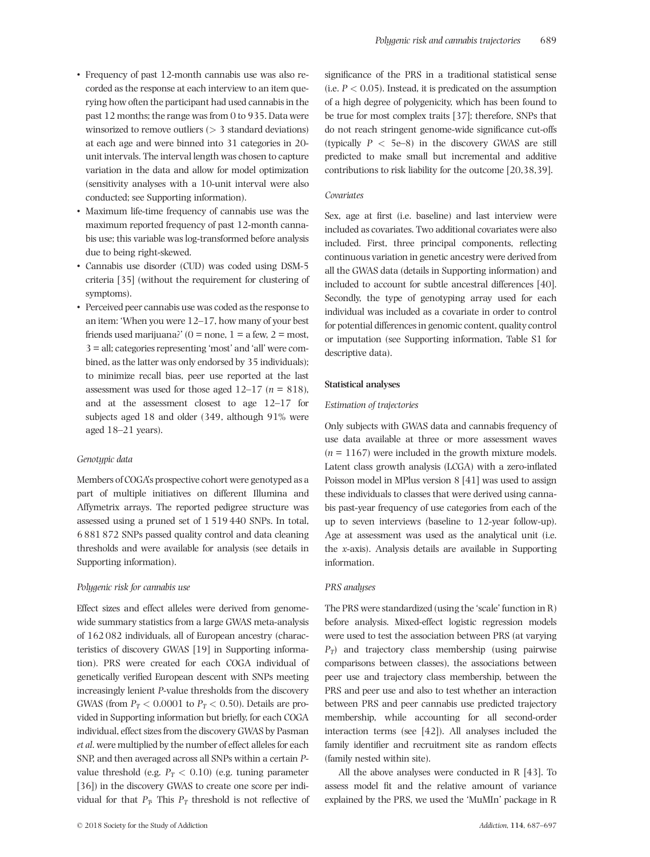- Frequency of past 12-month cannabis use was also recorded as the response at each interview to an item querying how often the participant had used cannabis in the past 12 months; the range was from 0 to 935. Data were winsorized to remove outliers  $(> 3$  standard deviations) at each age and were binned into 31 categories in 20 unit intervals. The interval length was chosen to capture variation in the data and allow for model optimization (sensitivity analyses with a 10-unit interval were also conducted; see Supporting information).
- Maximum life-time frequency of cannabis use was the maximum reported frequency of past 12-month cannabis use; this variable was log-transformed before analysis due to being right-skewed.
- Cannabis use disorder (CUD) was coded using DSM-5 criteria [35] (without the requirement for clustering of symptoms).
- Perceived peer cannabis use was coded as the response to an item: 'When you were 12–17, how many of your best friends used marijuana?' (0 = none, 1 = a few, 2 = most, 3 = all; categories representing 'most' and 'all' were combined, as the latter was only endorsed by 35 individuals); to minimize recall bias, peer use reported at the last assessment was used for those aged  $12-17$  ( $n = 818$ ), and at the assessment closest to age 12–17 for subjects aged 18 and older (349, although 91% were aged 18–21 years).

#### Genotypic data

Members of COGA's prospective cohort were genotyped as a part of multiple initiatives on different Illumina and Affymetrix arrays. The reported pedigree structure was assessed using a pruned set of 1 519 440 SNPs. In total, 6 881 872 SNPs passed quality control and data cleaning thresholds and were available for analysis (see details in Supporting information).

#### Polygenic risk for cannabis use

Effect sizes and effect alleles were derived from genomewide summary statistics from a large GWAS meta-analysis of 162 082 individuals, all of European ancestry (characteristics of discovery GWAS [19] in Supporting information). PRS were created for each COGA individual of genetically verified European descent with SNPs meeting increasingly lenient P-value thresholds from the discovery GWAS (from  $P_T < 0.0001$  to  $P_T < 0.50$ ). Details are provided in Supporting information but briefly, for each COGA individual, effect sizes from the discovery GWAS by Pasman et al. were multiplied by the number of effect alleles for each SNP, and then averaged across all SNPs within a certain Pvalue threshold (e.g.  $P_T < 0.10$ ) (e.g. tuning parameter [36]) in the discovery GWAS to create one score per individual for that  $P_T$ . This  $P_T$  threshold is not reflective of

significance of the PRS in a traditional statistical sense (i.e.  $P < 0.05$ ). Instead, it is predicated on the assumption of a high degree of polygenicity, which has been found to be true for most complex traits [37]; therefore, SNPs that do not reach stringent genome-wide significance cut-offs (typically  $P < 5e-8$ ) in the discovery GWAS are still predicted to make small but incremental and additive contributions to risk liability for the outcome [20,38,39].

## Covariates

Sex, age at first (i.e. baseline) and last interview were included as covariates. Two additional covariates were also included. First, three principal components, reflecting continuous variation in genetic ancestry were derived from all the GWAS data (details in Supporting information) and included to account for subtle ancestral differences [40]. Secondly, the type of genotyping array used for each individual was included as a covariate in order to control for potential differences in genomic content, quality control or imputation (see Supporting information, Table S1 for descriptive data).

#### Statistical analyses

#### Estimation of trajectories

Only subjects with GWAS data and cannabis frequency of use data available at three or more assessment waves  $(n = 1167)$  were included in the growth mixture models. Latent class growth analysis (LCGA) with a zero-inflated Poisson model in MPlus version 8 [41] was used to assign these individuals to classes that were derived using cannabis past-year frequency of use categories from each of the up to seven interviews (baseline to 12-year follow-up). Age at assessment was used as the analytical unit (i.e. the x-axis). Analysis details are available in Supporting information.

#### PRS analyses

The PRS were standardized (using the 'scale' function in R) before analysis. Mixed-effect logistic regression models were used to test the association between PRS (at varying  $P_T$ ) and trajectory class membership (using pairwise comparisons between classes), the associations between peer use and trajectory class membership, between the PRS and peer use and also to test whether an interaction between PRS and peer cannabis use predicted trajectory membership, while accounting for all second-order interaction terms (see [42]). All analyses included the family identifier and recruitment site as random effects (family nested within site).

All the above analyses were conducted in R [43]. To assess model fit and the relative amount of variance explained by the PRS, we used the 'MuMIn' package in R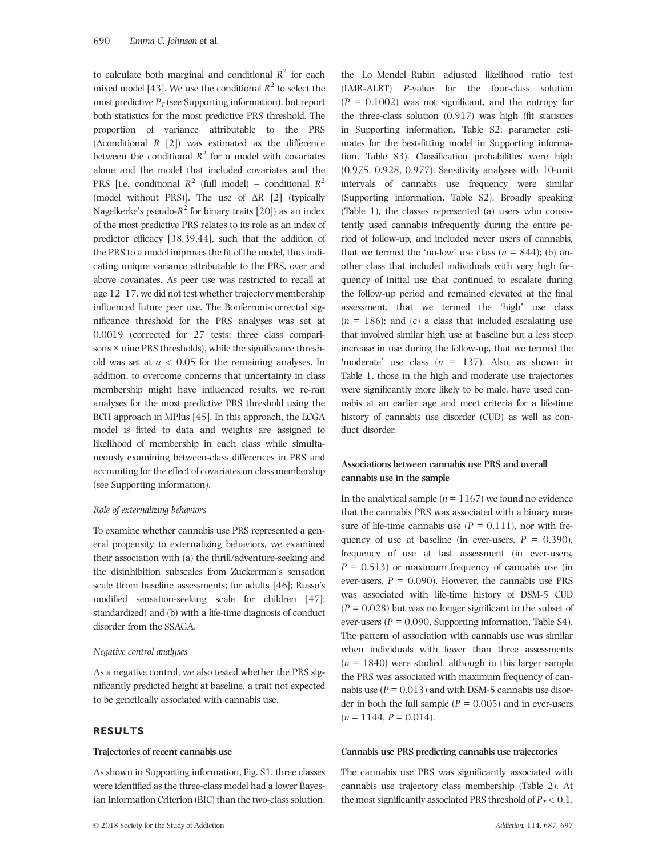to calculate both marginal and conditional  $R^2$  for each mixed model [43]. We use the conditional  $R^2$  to select the most predictive  $P_T$  (see Supporting information), but report both statistics for the most predictive PRS threshold. The proportion of variance attributable to the PRS (Δconditional R [2]) was estimated as the difference between the conditional  $R^2$  for a model with covariates alone and the model that included covariates and the PRS [i.e. conditional  $R^2$  (full model) – conditional  $R^2$ (model without PRS)]. The use of  $\Delta R$  [2] (typically Nagelkerke's pseudo- $R^2$  for binary traits [20]) as an index of the most predictive PRS relates to its role as an index of predictor efficacy [38,39,44], such that the addition of the PRS to a model improves the fit of the model, thus indicating unique variance attributable to the PRS, over and above covariates. As peer use was restricted to recall at age 12–17, we did not test whether trajectory membership influenced future peer use. The Bonferroni-corrected significance threshold for the PRS analyses was set at 0.0019 (corrected for 27 tests: three class comparisons  $\times$  nine PRS thresholds), while the significance threshold was set at  $\alpha$  < 0.05 for the remaining analyses. In addition, to overcome concerns that uncertainty in class membership might have influenced results, we re-ran analyses for the most predictive PRS threshold using the BCH approach in MPlus [45]. In this approach, the LCGA model is fitted to data and weights are assigned to likelihood of membership in each class while simultaneously examining between-class differences in PRS and accounting for the effect of covariates on class membership (see Supporting information).

#### Role of externalizing behaviors

To examine whether cannabis use PRS represented a general propensity to externalizing behaviors, we examined their association with (a) the thrill/adventure-seeking and the disinhibition subscales from Zuckerman's sensation scale (from baseline assessments; for adults [46]; Russo's modified sensation-seeking scale for children [47]; standardized) and (b) with a life-time diagnosis of conduct disorder from the SSAGA.

#### Negative control analyses

As a negative control, we also tested whether the PRS significantly predicted height at baseline, a trait not expected to be genetically associated with cannabis use.

# RESULTS

## Trajectories of recent cannabis use

As shown in Supporting information, Fig. S1, three classes were identified as the three-class model had a lower Bayesian Information Criterion (BIC) than the two-class solution,

the Lo–Mendel–Rubin adjusted likelihood ratio test (LMR-ALRT) P-value for the four-class solution  $(P = 0.1002)$  was not significant, and the entropy for the three-class solution (0.917) was high (fit statistics in Supporting information, Table S2; parameter estimates for the best-fitting model in Supporting information, Table S3). Classification probabilities were high (0.975, 0.928, 0.977). Sensitivity analyses with 10-unit intervals of cannabis use frequency were similar (Supporting information, Table S2). Broadly speaking (Table 1), the classes represented (a) users who consistently used cannabis infrequently during the entire period of follow-up, and included never users of cannabis, that we termed the 'no-low' use class  $(n = 844)$ ; (b) another class that included individuals with very high frequency of initial use that continued to escalate during the follow-up period and remained elevated at the final assessment, that we termed the 'high' use class  $(n = 186)$ ; and (c) a class that included escalating use that involved similar high use at baseline but a less steep increase in use during the follow-up, that we termed the 'moderate' use class  $(n = 137)$ . Also, as shown in Table 1, those in the high and moderate use trajectories were significantly more likely to be male, have used cannabis at an earlier age and meet criteria for a life-time history of cannabis use disorder (CUD) as well as conduct disorder.

# Associations between cannabis use PRS and overall cannabis use in the sample

In the analytical sample ( $n = 1167$ ) we found no evidence that the cannabis PRS was associated with a binary measure of life-time cannabis use  $(P = 0.111)$ , nor with frequency of use at baseline (in ever-users,  $P = 0.390$ ), frequency of use at last assessment (in ever-users,  $P = 0.513$ ) or maximum frequency of cannabis use (in ever-users,  $P = 0.090$ ). However, the cannabis use PRS was associated with life-time history of DSM-5 CUD  $(P = 0.028)$  but was no longer significant in the subset of ever-users ( $P = 0.090$ , Supporting information, Table S4). The pattern of association with cannabis use was similar when individuals with fewer than three assessments  $(n = 1840)$  were studied, although in this larger sample the PRS was associated with maximum frequency of cannabis use ( $P = 0.013$ ) and with DSM-5 cannabis use disorder in both the full sample ( $P = 0.005$ ) and in ever-users  $(n = 1144, P = 0.014).$ 

## Cannabis use PRS predicting cannabis use trajectories

The cannabis use PRS was significantly associated with cannabis use trajectory class membership (Table 2). At the most significantly associated PRS threshold of  $P_T < 0.1$ ,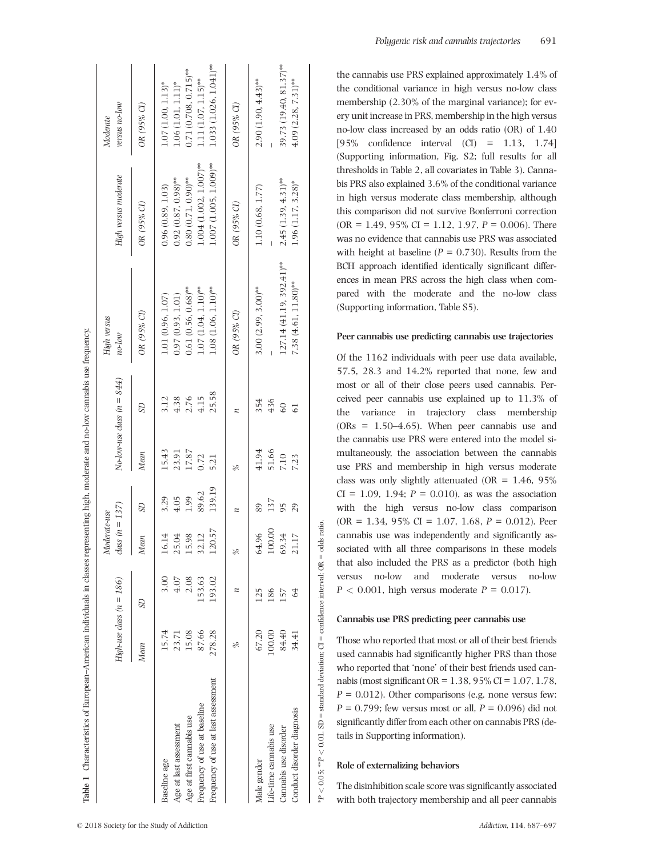|                                    |        | High-use class $(n = 186)$ | $class (n = 137)$<br>Moderate-use  |               |       | $No-low-use class (n = 844)$ | High versus<br>$no$ - $low$      | High versus moderate     | versus no-low<br>Moderate |
|------------------------------------|--------|----------------------------|------------------------------------|---------------|-------|------------------------------|----------------------------------|--------------------------|---------------------------|
|                                    | Mean   | SD                         | Mean                               | <b>SD</b>     | Mean  | SD                           | OR (95% CI)                      | OR (95% CI)              | OR (95% CI)               |
| Baseline age                       | 15.74  | 3.00                       | 16.14                              | 3.29          | 15.43 | 3.12                         | 1.01 (0.96, 1.07)                | 0.96(0.89, 1.03)         | $1.07(1.00, 1.13)^*$      |
| Age at last assessment             | 23.71  | $4.07$                     | 25.04                              | 4.05          | 23.91 | 4.38                         | 0.97(0.93, 1.01)                 | $0.92(0.87, 0.98)$ **    | $1.06(1.01, 1.11)^*$      |
| Age at first cannabis use          | 15.08  | 2.08                       | 15.98                              | 1.99          | 17.87 | 2.76                         | $0.61(0.56, 0.68)$ **            | $0.80(0.71, 0.90)$ **    | $0.71(0.708, 0.715)$ **   |
| requency of use at baseline        | 87.66  | 153.63                     | 32.12                              | 89.62         | 0.72  | 4.15                         | $1.07(1.04, 1.10)$ <sup>**</sup> | $1.004(1.002, 1.007)$ ** | $1.11(1.07, 1.15)$ **     |
| requency of use at last assessment | 278.28 | 193.02                     | 120.57                             | 139.19        | 5.21  | 25.58                        | $1.08(1.06, 1.10)$ **            | $1.007(1.005, 1.009)$ ** | $1.033(1.026, 1.041)$ **  |
|                                    | Lo     | z                          | $\frac{\partial}{\partial \theta}$ |               | %     |                              | OR (95% CI)                      | OR (95% CI)              | OR (95% CI)               |
| Male gender                        | 67.20  | 125                        | 64.96                              | $\frac{8}{9}$ | 41.94 | 354                          | $3.00(2.99, 3.00)$ **            | 1.10 (0.68, 1.77)        | $2.90(1.90, 4.43)$ **     |
| ife-time cannabis use              | 100.00 | 186                        | 100.00                             | 137           | 51.66 | 436                          |                                  |                          |                           |
| Cannabis use disorder              | 84.40  | 157                        | 69.34                              | 95            | 7.10  | $\overline{60}$              | $127.14(41.19, 392.41)$ **       | $2.45(1.39, 4.31)$ **    | 39.73 (19.40, 81.37)**    |
| Conduct disorder diagnosis         | 34.41  | 64                         | 21.17                              | 29            | 7.23  | 5                            | $7.38(4.61, 11.80)$ **           | $1.96(1.17, 3.28)$ *     | $4.09(2.28, 7.31)$ **     |
|                                    |        |                            |                                    |               |       |                              |                                  |                          |                           |

Polygenic risk and cannabis trajectories 691

the cannabis use PRS explained approximately 1.4% of the conditional variance in high versus no-low class membership (2.30% of the marginal variance); for every unit increase in PRS, membership in the high versus no-low class increased by an odds ratio (OR) of 1.40 [95% confidence interval (CI) = 1.13, 1.74] (Supporting information, Fig. S2; full results for all thresholds in Table 2, all covariates in Table 3). Cannabis PRS also explained 3.6% of the conditional variance in high versus moderate class membership, although this comparison did not survive Bonferroni correction  $(OR = 1.49, 95\% \text{ CI} = 1.12, 1.97, P = 0.006)$ . There was no evidence that cannabis use PRS was associated with height at baseline ( $P = 0.730$ ). Results from the BCH approach identified identically significant differences in mean PRS across the high class when compared with the moderate and the no-low class (Supporting information, Table S5).

## Peer cannabis use predicting cannabis use trajectories

Of the 1162 individuals with peer use data available, 57.5, 28.3 and 14.2% reported that none, few and most or all of their close peers used cannabis. Perceived peer cannabis use explained up to 11.3% of the variance in trajectory class membership  $(ORs = 1.50-4.65)$ . When peer cannabis use and the cannabis use PRS were entered into the model simultaneously, the association between the cannabis use PRS and membership in high versus moderate class was only slightly attenuated (OR =  $1.46$ , 95%)  $CI = 1.09, 1.94; P = 0.010$ , as was the association with the high versus no-low class comparison  $(OR = 1.34, 95\% \text{ CI} = 1.07, 1.68, P = 0.012)$ . Peer cannabis use was independently and significantly associated with all three comparisons in these models that also included the PRS as a predictor (both high versus no-low and moderate versus no-low  $P < 0.001$ , high versus moderate  $P = 0.017$ .

## Cannabis use PRS predicting peer cannabis use

Those who reported that most or all of their best friends used cannabis had significantly higher PRS than those who reported that 'none' of their best friends used cannabis (most significant OR = 1.38, 95% CI = 1.07, 1.78,  $P = 0.012$ ). Other comparisons (e.g. none versus few:  $P = 0.799$ ; few versus most or all,  $P = 0.096$ ) did not significantly differ from each other on cannabis PRS (details in Supporting information).

# Role of externalizing behaviors

\*P < 0.05; \*\*P < 0.01. SD = standard deviation; CI = confidence interval; OR = odds ratio.

 $< 0.05$ ; \*\* $P < 0.01$ .

Ą,

 $SD = standard deviation; \; CI = confidence interval;$ 

ratio.  $=$  odds  $\approx$ 

> The disinhibition scale score was significantly associated with both trajectory membership and all peer cannabis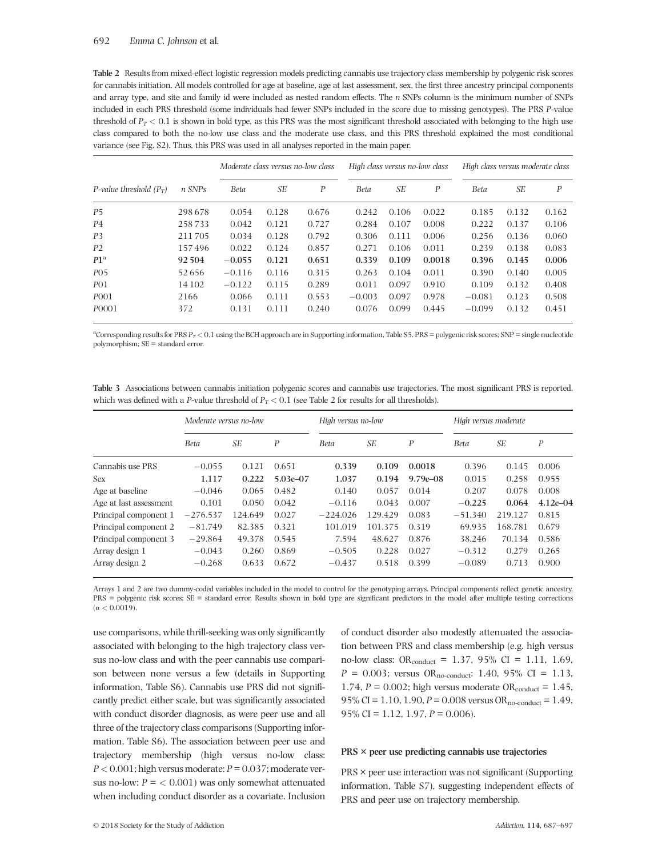Table 2 Results from mixed-effect logistic regression models predicting cannabis use trajectory class membership by polygenic risk scores for cannabis initiation. All models controlled for age at baseline, age at last assessment, sex, the first three ancestry principal components and array type, and site and family id were included as nested random effects. The n SNPs column is the minimum number of SNPs included in each PRS threshold (some individuals had fewer SNPs included in the score due to missing genotypes). The PRS P-value threshold of  $P_T < 0.1$  is shown in bold type, as this PRS was the most significant threshold associated with belonging to the high use class compared to both the no-low use class and the moderate use class, and this PRS threshold explained the most conditional variance (see Fig. S2). Thus, this PRS was used in all analyses reported in the main paper.

|                           |        | Moderate class versus no-low class |       |                  | High class versus no-low class |       |        |             | High class versus moderate class |       |  |
|---------------------------|--------|------------------------------------|-------|------------------|--------------------------------|-------|--------|-------------|----------------------------------|-------|--|
| P-value threshold $(P_T)$ | n SNPs | Beta                               | SE    | $\boldsymbol{P}$ | <b>Beta</b>                    | SЕ    | P      | <b>Beta</b> | SE                               | P     |  |
| <b>P5</b>                 | 298678 | 0.054                              | 0.128 | 0.676            | 0.242                          | 0.106 | 0.022  | 0.185       | 0.132                            | 0.162 |  |
| <b>P4</b>                 | 258733 | 0.042                              | 0.121 | 0.727            | 0.284                          | 0.107 | 0.008  | 0.222       | 0.137                            | 0.106 |  |
| P <sub>3</sub>            | 211705 | 0.034                              | 0.128 | 0.792            | 0.306                          | 0.111 | 0.006  | 0.256       | 0.136                            | 0.060 |  |
| P <sub>2</sub>            | 157496 | 0.022                              | 0.124 | 0.857            | 0.271                          | 0.106 | 0.011  | 0.239       | 0.138                            | 0.083 |  |
| P1 <sup>a</sup>           | 92504  | $-0.055$                           | 0.121 | 0.651            | 0.339                          | 0.109 | 0.0018 | 0.396       | 0.145                            | 0.006 |  |
| <b>PO5</b>                | 52656  | $-0.116$                           | 0.116 | 0.315            | 0.263                          | 0.104 | 0.011  | 0.390       | 0.140                            | 0.005 |  |
| P <sub>0</sub> 1          | 14 102 | $-0.122$                           | 0.115 | 0.289            | 0.011                          | 0.097 | 0.910  | 0.109       | 0.132                            | 0.408 |  |
| P <sub>001</sub>          | 2166   | 0.066                              | 0.111 | 0.553            | $-0.003$                       | 0.097 | 0.978  | $-0.081$    | 0.123                            | 0.508 |  |
| P <sub>0001</sub>         | 372    | 0.131                              | 0.111 | 0.240            | 0.076                          | 0.099 | 0.445  | $-0.099$    | 0.132                            | 0.451 |  |

<sup>a</sup>Corresponding results for PRS  $P_T < 0.1$  using the BCH approach are in Supporting information, Table S5. PRS = polygenic risk scores; SNP = single nucleotide polymorphism; SE = standard error.

Table 3 Associations between cannabis initiation polygenic scores and cannabis use trajectories. The most significant PRS is reported, which was defined with a P-value threshold of  $P_T < 0.1$  (see Table 2 for results for all thresholds).

|                        | Moderate versus no-low |         |              | High versus no-low |         |              | High versus moderate |         |              |
|------------------------|------------------------|---------|--------------|--------------------|---------|--------------|----------------------|---------|--------------|
|                        | <b>Beta</b>            | SЕ      | P            | Beta               | SЕ      | P            | <b>Beta</b>          | SE      | P            |
| Cannabis use PRS       | $-0.055$               | 0.121   | 0.651        | 0.339              | 0.109   | 0.0018       | 0.396                | 0.145   | 0.006        |
| <b>Sex</b>             | 1.117                  | 0.222   | $5.03e - 07$ | 1.037              | 0.194   | $9.79e - 08$ | 0.015                | 0.258   | 0.955        |
| Age at baseline        | $-0.046$               | 0.065   | 0.482        | 0.140              | 0.057   | 0.014        | 0.207                | 0.078   | 0.008        |
| Age at last assessment | 0.101                  | 0.050   | 0.042        | $-0.116$           | 0.043   | 0.007        | $-0.225$             | 0.064   | $4.12e - 04$ |
| Principal component 1  | $-276.537$             | 124.649 | 0.027        | $-224.026$         | 129.429 | 0.083        | $-51.340$            | 219.127 | 0.815        |
| Principal component 2  | $-81.749$              | 82.385  | 0.321        | 101.019            | 101.375 | 0.319        | 69.935               | 168.781 | 0.679        |
| Principal component 3  | $-29.864$              | 49.378  | 0.545        | 7.594              | 48.627  | 0.876        | 38.246               | 70.134  | 0.586        |
| Array design 1         | $-0.043$               | 0.260   | 0.869        | $-0.505$           | 0.228   | 0.027        | $-0.312$             | 0.279   | 0.265        |
| Array design 2         | $-0.268$               | 0.633   | 0.672        | $-0.437$           | 0.518   | 0.399        | $-0.089$             | 0.713   | 0.900        |

Arrays 1 and 2 are two dummy-coded variables included in the model to control for the genotyping arrays. Principal components reflect genetic ancestry. PRS = polygenic risk scores; SE = standard error. Results shown in bold type are significant predictors in the model after multiple testing corrections (α < 0.0019).

use comparisons, while thrill-seeking was only significantly associated with belonging to the high trajectory class versus no-low class and with the peer cannabis use comparison between none versus a few (details in Supporting information, Table S6). Cannabis use PRS did not significantly predict either scale, but was significantly associated with conduct disorder diagnosis, as were peer use and all three of the trajectory class comparisons (Supporting information, Table S6). The association between peer use and trajectory membership (high versus no-low class:  $P < 0.001$ ; high versus moderate:  $P = 0.037$ ; moderate versus no-low:  $P = \langle 0.001 \rangle$  was only somewhat attenuated when including conduct disorder as a covariate. Inclusion

of conduct disorder also modestly attenuated the association between PRS and class membership (e.g. high versus no-low class:  $OR_{conduct} = 1.37, 95\% \text{ CI} = 1.11, 1.69,$  $P = 0.003$ ; versus OR<sub>no-conduct</sub>: 1.40, 95% CI = 1.13, 1.74,  $P = 0.002$ ; high versus moderate OR<sub>conduct</sub> = 1.45, 95% CI = 1.10, 1.90,  $P = 0.008$  versus OR<sub>no-conduct</sub> = 1.49, 95% CI = 1.12, 1.97,  $P = 0.006$ ).

## PRS × peer use predicting cannabis use trajectories

PRS × peer use interaction was not significant (Supporting information, Table S7), suggesting independent effects of PRS and peer use on trajectory membership.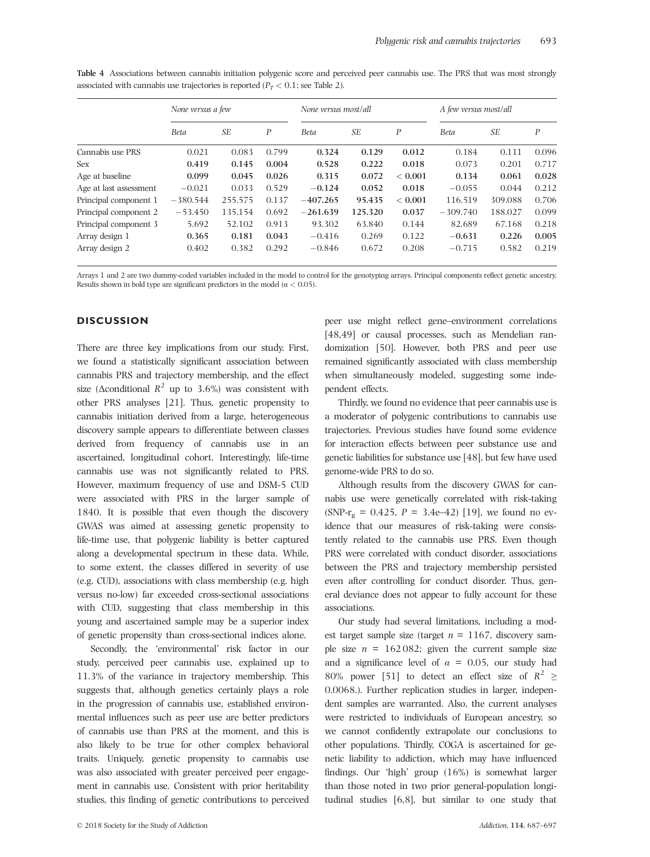|                        | None versus a few |         |       | None versus most/all |         |             | A few versus most/all |         |       |  |
|------------------------|-------------------|---------|-------|----------------------|---------|-------------|-----------------------|---------|-------|--|
|                        | <b>Beta</b>       | SЕ      | P     | <b>Beta</b>          | SE      | P           | <b>Beta</b>           | SЕ      | P     |  |
| Cannabis use PRS       | 0.021             | 0.083   | 0.799 | 0.324                | 0.129   | 0.012       | 0.184                 | 0.111   | 0.096 |  |
| Sex                    | 0.419             | 0.145   | 0.004 | 0.528                | 0.222   | 0.018       | 0.073                 | 0.201   | 0.717 |  |
| Age at baseline        | 0.099             | 0.045   | 0.026 | 0.315                | 0.072   | ${}< 0.001$ | 0.134                 | 0.061   | 0.028 |  |
| Age at last assessment | $-0.021$          | 0.033   | 0.529 | $-0.124$             | 0.052   | 0.018       | $-0.055$              | 0.044   | 0.212 |  |
| Principal component 1  | $-380.544$        | 255.575 | 0.137 | $-407.265$           | 95.435  | ${}< 0.001$ | 116.519               | 309.088 | 0.706 |  |
| Principal component 2  | $-53.450$         | 135.154 | 0.692 | $-261.639$           | 125.320 | 0.037       | $-309.740$            | 188.027 | 0.099 |  |
| Principal component 3  | 5.692             | 52.102  | 0.913 | 93.302               | 63.840  | 0.144       | 82.689                | 67.168  | 0.218 |  |
| Array design 1         | 0.365             | 0.181   | 0.043 | $-0.416$             | 0.269   | 0.122       | $-0.631$              | 0.226   | 0.005 |  |
| Array design 2         | 0.402             | 0.382   | 0.292 | $-0.846$             | 0.672   | 0.208       | $-0.715$              | 0.582   | 0.219 |  |

Table 4 Associations between cannabis initiation polygenic score and perceived peer cannabis use. The PRS that was most strongly associated with cannabis use trajectories is reported ( $P_T < 0.1$ ; see Table 2).

Arrays 1 and 2 are two dummy-coded variables included in the model to control for the genotyping arrays. Principal components reflect genetic ancestry. Results shown in bold type are significant predictors in the model ( $\alpha$  < 0.05).

# **DISCUSSION**

There are three key implications from our study. First, we found a statistically significant association between cannabis PRS and trajectory membership, and the effect size ( $\Delta$ conditional  $R^2$  up to 3.6%) was consistent with other PRS analyses [21]. Thus, genetic propensity to cannabis initiation derived from a large, heterogeneous discovery sample appears to differentiate between classes derived from frequency of cannabis use in an ascertained, longitudinal cohort. Interestingly, life-time cannabis use was not significantly related to PRS. However, maximum frequency of use and DSM-5 CUD were associated with PRS in the larger sample of 1840. It is possible that even though the discovery GWAS was aimed at assessing genetic propensity to life-time use, that polygenic liability is better captured along a developmental spectrum in these data. While, to some extent, the classes differed in severity of use (e.g. CUD), associations with class membership (e.g. high versus no-low) far exceeded cross-sectional associations with CUD, suggesting that class membership in this young and ascertained sample may be a superior index of genetic propensity than cross-sectional indices alone.

Secondly, the 'environmental' risk factor in our study, perceived peer cannabis use, explained up to 11.3% of the variance in trajectory membership. This suggests that, although genetics certainly plays a role in the progression of cannabis use, established environmental influences such as peer use are better predictors of cannabis use than PRS at the moment, and this is also likely to be true for other complex behavioral traits. Uniquely, genetic propensity to cannabis use was also associated with greater perceived peer engagement in cannabis use. Consistent with prior heritability studies, this finding of genetic contributions to perceived peer use might reflect gene–environment correlations [48,49] or causal processes, such as Mendelian randomization [50]. However, both PRS and peer use remained significantly associated with class membership when simultaneously modeled, suggesting some independent effects.

Thirdly, we found no evidence that peer cannabis use is a moderator of polygenic contributions to cannabis use trajectories. Previous studies have found some evidence for interaction effects between peer substance use and genetic liabilities for substance use [48], but few have used genome-wide PRS to do so.

Although results from the discovery GWAS for cannabis use were genetically correlated with risk-taking  $(SNP-r<sub>g</sub> = 0.425, P = 3.4e-42)$  [19], we found no evidence that our measures of risk-taking were consistently related to the cannabis use PRS. Even though PRS were correlated with conduct disorder, associations between the PRS and trajectory membership persisted even after controlling for conduct disorder. Thus, general deviance does not appear to fully account for these associations.

Our study had several limitations, including a modest target sample size (target  $n = 1167$ , discovery sample size  $n = 162082$ ; given the current sample size and a significance level of  $\alpha = 0.05$ , our study had 80% power [51] to detect an effect size of  $R^2 \ge$ 0.0068.). Further replication studies in larger, independent samples are warranted. Also, the current analyses were restricted to individuals of European ancestry, so we cannot confidently extrapolate our conclusions to other populations. Thirdly, COGA is ascertained for genetic liability to addiction, which may have influenced findings. Our 'high' group (16%) is somewhat larger than those noted in two prior general-population longitudinal studies [6,8], but similar to one study that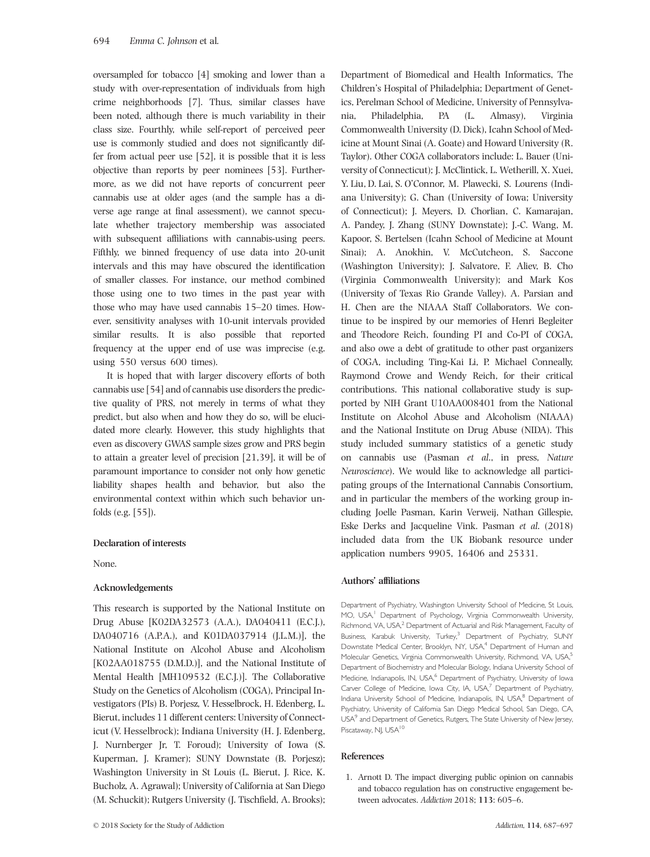oversampled for tobacco [4] smoking and lower than a study with over-representation of individuals from high crime neighborhoods [7]. Thus, similar classes have been noted, although there is much variability in their class size. Fourthly, while self-report of perceived peer use is commonly studied and does not significantly differ from actual peer use [52], it is possible that it is less objective than reports by peer nominees [53]. Furthermore, as we did not have reports of concurrent peer cannabis use at older ages (and the sample has a diverse age range at final assessment), we cannot speculate whether trajectory membership was associated with subsequent affiliations with cannabis-using peers. Fifthly, we binned frequency of use data into 20-unit intervals and this may have obscured the identification of smaller classes. For instance, our method combined those using one to two times in the past year with those who may have used cannabis 15–20 times. However, sensitivity analyses with 10-unit intervals provided similar results. It is also possible that reported frequency at the upper end of use was imprecise (e.g. using 550 versus 600 times).

It is hoped that with larger discovery efforts of both cannabis use [54] and of cannabis use disorders the predictive quality of PRS, not merely in terms of what they predict, but also when and how they do so, will be elucidated more clearly. However, this study highlights that even as discovery GWAS sample sizes grow and PRS begin to attain a greater level of precision [21,39], it will be of paramount importance to consider not only how genetic liability shapes health and behavior, but also the environmental context within which such behavior unfolds (e.g. [55]).

## Declaration of interests

None.

## Acknowledgements

This research is supported by the National Institute on Drug Abuse [K02DA32573 (A.A.), DA040411 (E.C.J.), DA040716 (A.P.A.), and K01DA037914 (J.L.M.)], the National Institute on Alcohol Abuse and Alcoholism [K02AA018755 (D.M.D.)], and the National Institute of Mental Health [MH109532 (E.C.J.)]. The Collaborative Study on the Genetics of Alcoholism (COGA), Principal Investigators (PIs) B. Porjesz, V. Hesselbrock, H. Edenberg, L. Bierut, includes 11 different centers: University of Connecticut (V. Hesselbrock); Indiana University (H. J. Edenberg, J. Nurnberger Jr, T. Foroud); University of Iowa (S. Kuperman, J. Kramer); SUNY Downstate (B. Porjesz); Washington University in St Louis (L. Bierut, J. Rice, K. Bucholz, A. Agrawal); University of California at San Diego (M. Schuckit); Rutgers University (J. Tischfield, A. Brooks); Department of Biomedical and Health Informatics, The Children's Hospital of Philadelphia; Department of Genetics, Perelman School of Medicine, University of Pennsylvania, Philadelphia, PA (L. Almasy), Virginia Commonwealth University (D. Dick), Icahn School of Medicine at Mount Sinai (A. Goate) and Howard University (R. Taylor). Other COGA collaborators include: L. Bauer (University of Connecticut); J. McClintick, L. Wetherill, X. Xuei, Y. Liu, D. Lai, S. O'Connor, M. Plawecki, S. Lourens (Indiana University); G. Chan (University of Iowa; University of Connecticut); J. Meyers, D. Chorlian, C. Kamarajan, A. Pandey, J. Zhang (SUNY Downstate); J.-C. Wang, M. Kapoor, S. Bertelsen (Icahn School of Medicine at Mount Sinai); A. Anokhin, V. McCutcheon, S. Saccone (Washington University); J. Salvatore, F. Aliev, B. Cho (Virginia Commonwealth University); and Mark Kos (University of Texas Rio Grande Valley). A. Parsian and H. Chen are the NIAAA Staff Collaborators. We continue to be inspired by our memories of Henri Begleiter and Theodore Reich, founding PI and Co-PI of COGA, and also owe a debt of gratitude to other past organizers of COGA, including Ting-Kai Li, P. Michael Conneally, Raymond Crowe and Wendy Reich, for their critical contributions. This national collaborative study is supported by NIH Grant U10AA008401 from the National Institute on Alcohol Abuse and Alcoholism (NIAAA) and the National Institute on Drug Abuse (NIDA). This study included summary statistics of a genetic study on cannabis use (Pasman et al., in press, Nature Neuroscience). We would like to acknowledge all participating groups of the International Cannabis Consortium, and in particular the members of the working group including Joelle Pasman, Karin Verweij, Nathan Gillespie, Eske Derks and Jacqueline Vink. Pasman et al. (2018) included data from the UK Biobank resource under application numbers 9905, 16406 and 25331.

## Authors' affiliations

Department of Psychiatry, Washington University School of Medicine, St Louis, MO, USA,<sup>1</sup> Department of Psychology, Virginia Commonwealth University, Richmond, VA, USA,<sup>2</sup> Department of Actuarial and Risk Management, Faculty of Business, Karabuk University, Turkey,<sup>3</sup> Department of Psychiatry, SUNY Downstate Medical Center, Brooklyn, NY, USA,<sup>4</sup> Department of Human and Molecular Genetics, Virginia Commonwealth University, Richmond, VA, USA,<sup>5</sup> Department of Biochemistry and Molecular Biology, Indiana University School of Medicine, Indianapolis, IN, USA,<sup>6</sup> Department of Psychiatry, University of Iowa Carver College of Medicine, Iowa City, IA, USA, $^7$  Department of Psychiatry, Indiana University School of Medicine, Indianapolis, IN, USA,<sup>8</sup> Department of Psychiatry, University of California San Diego Medical School, San Diego, CA, USA<sup>9</sup> and Department of Genetics, Rutgers, The State University of New Jersey, Piscataway, NJ, USA<sup>10</sup>

#### References

1. Arnott D. The impact diverging public opinion on cannabis and tobacco regulation has on constructive engagement between advocates. Addiction 2018; 113: 605–6.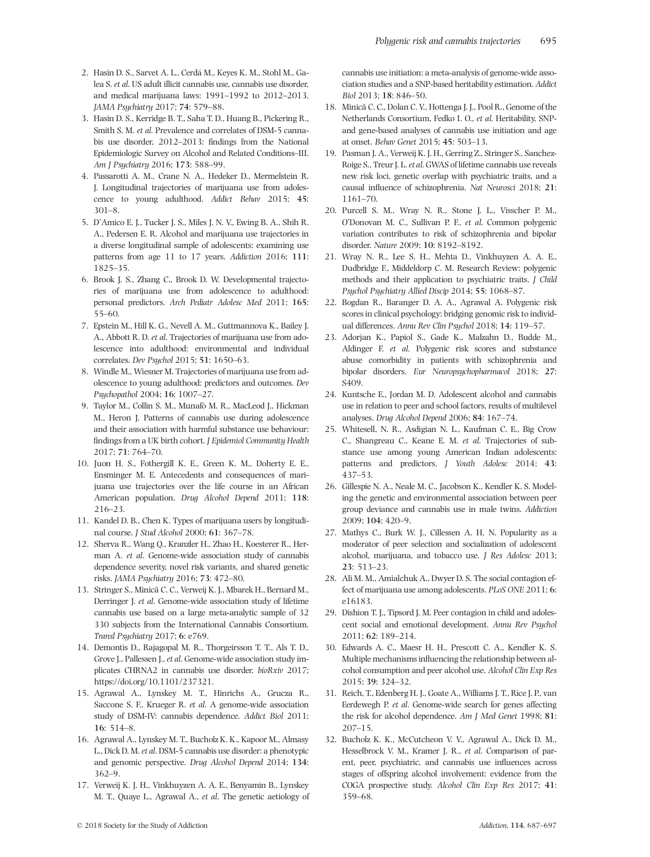- 2. Hasin D. S., Sarvet A. L., Cerdá M., Keyes K. M., Stohl M., Galea S. et al. US adult illicit cannabis use, cannabis use disorder, and medical marijuana laws: 1991–1992 to 2012–2013. JAMA Psychiatry 2017; 74: 579–88.
- 3. Hasin D. S., Kerridge B. T., Saha T. D., Huang B., Pickering R., Smith S. M. et al. Prevalence and correlates of DSM-5 cannabis use disorder, 2012–2013: findings from the National Epidemiologic Survey on Alcohol and Related Conditions–III. Am J Psychiatry 2016; 173: 588–99.
- 4. Passarotti A. M., Crane N. A., Hedeker D., Mermelstein R. J. Longitudinal trajectories of marijuana use from adolescence to young adulthood. Addict Behav 2015; 45: 301–8.
- 5. D'Amico E. J., Tucker J. S., Miles J. N. V., Ewing B. A., Shih R. A., Pedersen E. R. Alcohol and marijuana use trajectories in a diverse longitudinal sample of adolescents: examining use patterns from age 11 to 17 years. Addiction 2016; 111: 1825–35.
- 6. Brook J. S., Zhang C., Brook D. W. Developmental trajectories of marijuana use from adolescence to adulthood: personal predictors. Arch Pediatr Adolesc Med 2011; 165: 55–60.
- 7. Epstein M., Hill K. G., Nevell A. M., Guttmannova K., Bailey J. A., Abbott R. D. et al. Trajectories of marijuana use from adolescence into adulthood: environmental and individual correlates. Dev Psychol 2015; 51: 1650–63.
- 8. Windle M., Wiesner M. Trajectories of marijuana use from adolescence to young adulthood: predictors and outcomes. Dev Psychopathol 2004; 16: 1007–27.
- 9. Taylor M., Collin S. M., Munafò M. R., MacLeod J., Hickman M., Heron J. Patterns of cannabis use during adolescence and their association with harmful substance use behaviour: findings from a UK birth cohort. J Epidemiol Community Health 2017; 71: 764–70.
- 10. Juon H. S., Fothergill K. E., Green K. M., Doherty E. E., Ensminger M. E. Antecedents and consequences of marijuana use trajectories over the life course in an African American population. Drug Alcohol Depend 2011; 118: 216–23.
- 11. Kandel D. B., Chen K. Types of marijuana users by longitudinal course. J Stud Alcohol 2000; 61: 367–78.
- 12. Sherva R., Wang Q., Kranzler H., Zhao H., Koesterer R., Herman A. et al. Genome-wide association study of cannabis dependence severity, novel risk variants, and shared genetic risks. JAMA Psychiatry 2016; 73: 472–80.
- 13. Stringer S., Minică C. C., Verweij K. J., Mbarek H., Bernard M., Derringer J. et al. Genome-wide association study of lifetime cannabis use based on a large meta-analytic sample of 32 330 subjects from the International Cannabis Consortium. Transl Psychiatry 2017; 6: e769.
- 14. Demontis D., Rajagopal M. R., Thorgeirsson T. T., Als T. D., Grove J., Pallessen J., et al. Genome-wide association study implicates CHRNA2 in cannabis use disorder. bioRxiv 2017; <https://doi.org/10.1101/237321>.
- 15. Agrawal A., Lynskey M. T., Hinrichs A., Grucza R., Saccone S. F., Krueger R. et al. A genome-wide association study of DSM-IV: cannabis dependence. Addict Biol 2011; 16: 514–8.
- 16. Agrawal A., Lynskey M. T., Bucholz K. K., Kapoor M., Almasy L., Dick D. M. et al. DSM-5 cannabis use disorder: a phenotypic and genomic perspective. Drug Alcohol Depend 2014; 134: 362–9.
- 17. Verweij K. J. H., Vinkhuyzen A. A. E., Benyamin B., Lynskey M. T., Quaye L., Agrawal A., et al. The genetic aetiology of

cannabis use initiation: a meta-analysis of genome-wide association studies and a SNP-based heritability estimation. Addict Biol 2013; 18: 846–50.

- 18. Minică C. C., Dolan C. V., Hottenga J. J., Pool R., Genome of the Netherlands Consortium, Fedko I. O., et al. Heritability, SNPand gene-based analyses of cannabis use initiation and age at onset. Behav Genet 2015; 45: 503–13.
- 19. Pasman J. A., Verweij K. J. H., Gerring Z., Stringer S., Sanchez-Roige S., Treur J. L. et al. GWAS of lifetime cannabis use reveals new risk loci, genetic overlap with psychiatric traits, and a causal influence of schizophrenia. Nat Neurosci 2018; 21: 1161–70.
- 20. Purcell S. M., Wray N. R., Stone J. L., Visscher P. M., O'Donovan M. C., Sullivan P. F., et al. Common polygenic variation contributes to risk of schizophrenia and bipolar disorder. Nature 2009; 10: 8192–8192.
- 21. Wray N. R., Lee S. H., Mehta D., Vinkhuyzen A. A. E., Dudbridge F., Middeldorp C. M. Research Review: polygenic methods and their application to psychiatric traits. J Child Psychol Psychiatry Allied Discip 2014; 55: 1068–87.
- 22. Bogdan R., Baranger D. A. A., Agrawal A. Polygenic risk scores in clinical psychology: bridging genomic risk to individual differences. Annu Rev Clin Psychol 2018; 14: 119–57.
- 23. Adorjan K., Papiol S., Gade K., Malzahn D., Budde M., Aldinger F. et al. Polygenic risk scores and substance abuse comorbidity in patients with schizophrenia and bipolar disorders. Eur Neuropsychopharmacol 2018; 27: S409.
- 24. Kuntsche E., Jordan M. D. Adolescent alcohol and cannabis use in relation to peer and school factors, results of multilevel analyses. Drug Alcohol Depend 2006; 84: 167–74.
- 25. Whitesell, N. R., Asdigian N. L., Kaufman C. E., Big Crow C., Shangreau C., Keane E. M. et al. Trajectories of substance use among young American Indian adolescents: patterns and predictors. J Youth Adolesc 2014; 43: 437–53.
- 26. Gillespie N. A., Neale M. C., Jacobson K., Kendler K. S. Modeling the genetic and environmental association between peer group deviance and cannabis use in male twins. Addiction 2009; 104: 420–9.
- 27. Mathys C., Burk W. J., Cillessen A. H. N. Popularity as a moderator of peer selection and socialization of adolescent alcohol, marijuana, and tobacco use. J Res Adolesc 2013; 23: 513–23.
- 28. Ali M. M., Amialchuk A., Dwyer D. S. The social contagion effect of marijuana use among adolescents. PLoS ONE 2011; 6: e16183.
- 29. Dishion T. J., Tipsord J. M. Peer contagion in child and adolescent social and emotional development. Annu Rev Psychol 2011; 62: 189–214.
- 30. Edwards A. C., Maesr H. H., Prescott C. A., Kendler K. S. Multiple mechanisms influencing the relationship between alcohol consumption and peer alcohol use. Alcohol Clin Exp Res 2015; 39: 324–32.
- 31. Reich, T., Edenberg H. J., Goate A., Williams J. T., Rice J. P., van Eerdewegh P. et al. Genome-wide search for genes affecting the risk for alcohol dependence. Am J Med Genet 1998; 81: 207–15.
- 32. Bucholz K. K., McCutcheon V. V., Agrawal A., Dick D. M., Hesselbrock V. M., Kramer J. R., et al. Comparison of parent, peer, psychiatric, and cannabis use influences across stages of offspring alcohol involvement: evidence from the COGA prospective study. Alcohol Clin Exp Res 2017; 41: 359–68.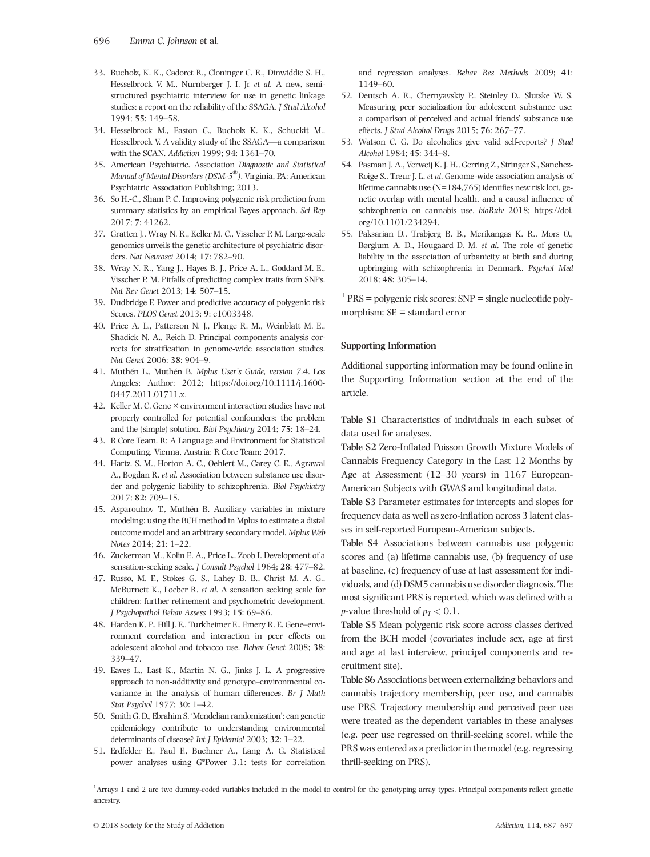- 33. Bucholz, K. K., Cadoret R., Cloninger C. R., Dinwiddie S. H., Hesselbrock V. M., Nurnberger J. I. Jr et al. A new, semistructured psychiatric interview for use in genetic linkage studies: a report on the reliability of the SSAGA. J Stud Alcohol 1994; 55: 149–58.
- 34. Hesselbrock M., Easton C., Bucholz K. K., Schuckit M., Hesselbrock V. A validity study of the SSAGA—a comparison with the SCAN. Addiction 1999; 94: 1361–70.
- 35. American Psychiatric. Association Diagnostic and Statistical Manual of Mental Disorders (DSM-5® ). Virginia, PA: American Psychiatric Association Publishing; 2013.
- 36. So H.-C., Sham P. C. Improving polygenic risk prediction from summary statistics by an empirical Bayes approach. Sci Rep 2017; 7: 41262.
- 37. Gratten J., Wray N. R., Keller M. C., Visscher P. M. Large-scale genomics unveils the genetic architecture of psychiatric disorders. Nat Neurosci 2014; 17: 782–90.
- 38. Wray N. R., Yang J., Hayes B. J., Price A. L., Goddard M. E., Visscher P. M. Pitfalls of predicting complex traits from SNPs. Nat Rev Genet 2013; 14: 507–15.
- 39. Dudbridge F. Power and predictive accuracy of polygenic risk Scores. PLOS Genet 2013; 9: e1003348.
- 40. Price A. L., Patterson N. J., Plenge R. M., Weinblatt M. E., Shadick N. A., Reich D. Principal components analysis corrects for stratification in genome-wide association studies. Nat Genet 2006; 38: 904–9.
- 41. Muthén L., Muthén B. Mplus User's Guide, version 7.4. Los Angeles: Author; 2012; [https://doi.org/10.1111/j.1600-](https://doi.org/10.1111/j.1600-0447.2011.01711.x) [0447.2011.01711.x.](https://doi.org/10.1111/j.1600-0447.2011.01711.x)
- 42. Keller M. C. Gene × environment interaction studies have not properly controlled for potential confounders: the problem and the (simple) solution. Biol Psychiatry 2014; 75: 18–24.
- 43. R Core Team. R: A Language and Environment for Statistical Computing. Vienna, Austria: R Core Team; 2017.
- 44. Hartz, S. M., Horton A. C., Oehlert M., Carey C. E., Agrawal A., Bogdan R. et al. Association between substance use disorder and polygenic liability to schizophrenia. Biol Psychiatry 2017; 82: 709–15.
- 45. Asparouhov T., Muthén B. Auxiliary variables in mixture modeling: using the BCH method in Mplus to estimate a distal outcome model and an arbitrary secondary model. Mplus Web Notes 2014; 21: 1–22.
- 46. Zuckerman M., Kolin E. A., Price L., Zoob I. Development of a sensation-seeking scale. J Consult Psychol 1964; 28: 477–82.
- 47. Russo, M. F., Stokes G. S., Lahey B. B., Christ M. A. G., McBurnett K., Loeber R. et al. A sensation seeking scale for children: further refinement and psychometric development. J Psychopathol Behav Assess 1993; 15: 69–86.
- 48. Harden K. P., Hill J. E., Turkheimer E., Emery R. E. Gene–environment correlation and interaction in peer effects on adolescent alcohol and tobacco use. Behav Genet 2008; 38: 339–47.
- 49. Eaves L., Last K., Martin N. G., Jinks J. L. A progressive approach to non-additivity and genotype–environmental covariance in the analysis of human differences. Br J Math Stat Psychol 1977; 30: 1–42.
- 50. Smith G. D., Ebrahim S. 'Mendelian randomization': can genetic epidemiology contribute to understanding environmental determinants of disease? Int J Epidemiol 2003; 32: 1–22.
- 51. Erdfelder E., Faul F., Buchner A., Lang A. G. Statistical power analyses using G\*Power 3.1: tests for correlation

and regression analyses. Behav Res Methods 2009; 41: 1149–60.

- 52. Deutsch A. R., Chernyavskiy P., Steinley D., Slutske W. S. Measuring peer socialization for adolescent substance use: a comparison of perceived and actual friends' substance use effects. J Stud Alcohol Drugs 2015; 76: 267–77.
- 53. Watson C. G. Do alcoholics give valid self-reports? J Stud Alcohol 1984; 45: 344–8.
- 54. Pasman J. A., Verweij K. J. H., Gerring Z., Stringer S., Sanchez-Roige S., Treur J. L. et al. Genome-wide association analysis of lifetime cannabis use (N=184,765) identifies new risk loci, genetic overlap with mental health, and a causal influence of schizophrenia on cannabis use. bioRxiv 2018; [https://doi.](https://doi.org/10.1101/234294) [org/10.1101/234294.](https://doi.org/10.1101/234294)
- 55. Paksarian D., Trabjerg B. B., Merikangas K. R., Mors O., Børglum A. D., Hougaard D. M. et al. The role of genetic liability in the association of urbanicity at birth and during upbringing with schizophrenia in Denmark. Psychol Med 2018; 48: 305–14.

 $1$  PRS = polygenic risk scores; SNP = single nucleotide polymorphism; SE = standard error

# Supporting Information

Additional supporting information may be found online in the Supporting Information section at the end of the article.

Table S1 Characteristics of individuals in each subset of data used for analyses.

Table S2 Zero-Inflated Poisson Growth Mixture Models of Cannabis Frequency Category in the Last 12 Months by Age at Assessment (12–30 years) in 1167 European-American Subjects with GWAS and longitudinal data.

Table S3 Parameter estimates for intercepts and slopes for frequency data as well as zero-inflation across 3 latent classes in self-reported European-American subjects.

Table S4 Associations between cannabis use polygenic scores and (a) lifetime cannabis use, (b) frequency of use at baseline, (c) frequency of use at last assessment for individuals, and (d) DSM5 cannabis use disorder diagnosis. The most significant PRS is reported, which was defined with a *p*-value threshold of  $p_T < 0.1$ .

Table S5 Mean polygenic risk score across classes derived from the BCH model (covariates include sex, age at first and age at last interview, principal components and recruitment site).

Table S6 Associations between externalizing behaviors and cannabis trajectory membership, peer use, and cannabis use PRS. Trajectory membership and perceived peer use were treated as the dependent variables in these analyses (e.g. peer use regressed on thrill-seeking score), while the PRS was entered as a predictor in the model (e.g. regressing thrill-seeking on PRS).

<sup>1</sup>Arrays 1 and 2 are two dummy-coded variables included in the model to control for the genotyping array types. Principal components reflect genetic ancestry.